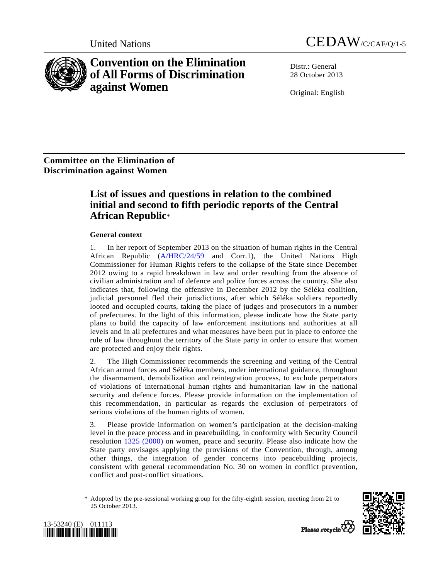

**Convention on the Elimination of All Forms of Discrimination against Women** 

United Nations CEDAW/C/CAF/Q/1-5

Distr · General 28 October 2013

Original: English

**Committee on the Elimination of Discrimination against Women** 

# **List of issues and questions in relation to the combined initial and second to fifth periodic reports of the Central African Republic**\*

## **General context**

1. In her report of September 2013 on the situation of human rights in the Central African Republic [\(A/HRC/24/59](http://undocs.org/A/HRC/24/59) and Corr.1), the United Nations High Commissioner for Human Rights refers to the collapse of the State since December 2012 owing to a rapid breakdown in law and order resulting from the absence of civilian administration and of defence and police forces across the country. She also indicates that, following the offensive in December 2012 by the Séléka coalition, judicial personnel fled their jurisdictions, after which Séléka soldiers reportedly looted and occupied courts, taking the place of judges and prosecutors in a number of prefectures. In the light of this information, please indicate how the State party plans to build the capacity of law enforcement institutions and authorities at all levels and in all prefectures and what measures have been put in place to enforce the rule of law throughout the territory of the State party in order to ensure that women are protected and enjoy their rights.

2. The High Commissioner recommends the screening and vetting of the Central African armed forces and Séléka members, under international guidance, throughout the disarmament, demobilization and reintegration process, to exclude perpetrators of violations of international human rights and humanitarian law in the national security and defence forces. Please provide information on the implementation of this recommendation, in particular as regards the exclusion of perpetrators of serious violations of the human rights of women.

3. Please provide information on women's participation at the decision-making level in the peace process and in peacebuilding, in conformity with Security Council resolution [1325 \(2000\)](http://undocs.org/S/RES/1325(2000)) on women, peace and security. Please also indicate how the State party envisages applying the provisions of the Convention, through, among other things, the integration of gender concerns into peacebuilding projects, consistent with general recommendation No. 30 on women in conflict prevention, conflict and post-conflict situations.

 <sup>\*</sup> Adopted by the pre-sessional working group for the fifty-eighth session, meeting from 21 to 25 October 2013.





Plasse recycle  $\overline{V}$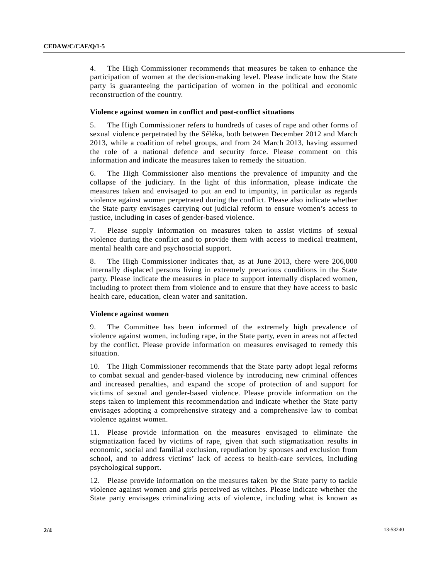4. The High Commissioner recommends that measures be taken to enhance the participation of women at the decision-making level. Please indicate how the State party is guaranteeing the participation of women in the political and economic reconstruction of the country.

## **Violence against women in conflict and post-conflict situations**

5. The High Commissioner refers to hundreds of cases of rape and other forms of sexual violence perpetrated by the Séléka, both between December 2012 and March 2013, while a coalition of rebel groups, and from 24 March 2013, having assumed the role of a national defence and security force. Please comment on this information and indicate the measures taken to remedy the situation.

6. The High Commissioner also mentions the prevalence of impunity and the collapse of the judiciary. In the light of this information, please indicate the measures taken and envisaged to put an end to impunity, in particular as regards violence against women perpetrated during the conflict. Please also indicate whether the State party envisages carrying out judicial reform to ensure women's access to justice, including in cases of gender-based violence.

7. Please supply information on measures taken to assist victims of sexual violence during the conflict and to provide them with access to medical treatment, mental health care and psychosocial support.

8. The High Commissioner indicates that, as at June 2013, there were 206,000 internally displaced persons living in extremely precarious conditions in the State party. Please indicate the measures in place to support internally displaced women, including to protect them from violence and to ensure that they have access to basic health care, education, clean water and sanitation.

#### **Violence against women**

9. The Committee has been informed of the extremely high prevalence of violence against women, including rape, in the State party, even in areas not affected by the conflict. Please provide information on measures envisaged to remedy this situation.

10. The High Commissioner recommends that the State party adopt legal reforms to combat sexual and gender-based violence by introducing new criminal offences and increased penalties, and expand the scope of protection of and support for victims of sexual and gender-based violence. Please provide information on the steps taken to implement this recommendation and indicate whether the State party envisages adopting a comprehensive strategy and a comprehensive law to combat violence against women.

11. Please provide information on the measures envisaged to eliminate the stigmatization faced by victims of rape, given that such stigmatization results in economic, social and familial exclusion, repudiation by spouses and exclusion from school, and to address victims' lack of access to health-care services, including psychological support.

12. Please provide information on the measures taken by the State party to tackle violence against women and girls perceived as witches. Please indicate whether the State party envisages criminalizing acts of violence, including what is known as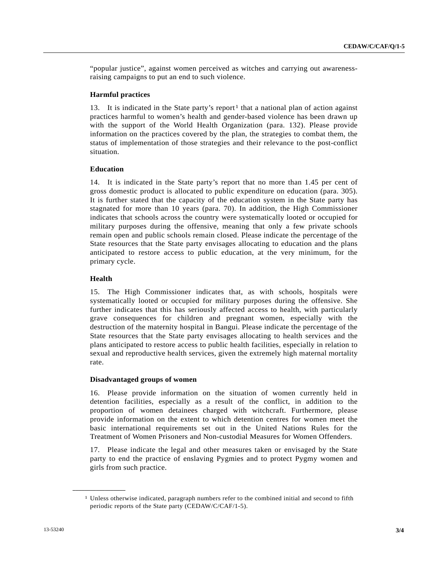"popular justice", against women perceived as witches and carrying out awarenessraising campaigns to put an end to such violence.

## **Harmful practices**

13. It is indicated in the State party's report<sup>1</sup> that a national plan of action against practices harmful to women's health and gender-based violence has been drawn up with the support of the World Health Organization (para. 132). Please provide information on the practices covered by the plan, the strategies to combat them, the status of implementation of those strategies and their relevance to the post-conflict situation.

#### **Education**

14. It is indicated in the State party's report that no more than 1.45 per cent of gross domestic product is allocated to public expenditure on education (para. 305). It is further stated that the capacity of the education system in the State party has stagnated for more than 10 years (para. 70). In addition, the High Commissioner indicates that schools across the country were systematically looted or occupied for military purposes during the offensive, meaning that only a few private schools remain open and public schools remain closed. Please indicate the percentage of the State resources that the State party envisages allocating to education and the plans anticipated to restore access to public education, at the very minimum, for the primary cycle.

## **Health**

<span id="page-2-0"></span>**\_\_\_\_\_\_\_\_\_\_\_\_\_\_\_\_\_\_** 

15. The High Commissioner indicates that, as with schools, hospitals were systematically looted or occupied for military purposes during the offensive. She further indicates that this has seriously affected access to health, with particularly grave consequences for children and pregnant women, especially with the destruction of the maternity hospital in Bangui. Please indicate the percentage of the State resources that the State party envisages allocating to health services and the plans anticipated to restore access to public health facilities, especially in relation to sexual and reproductive health services, given the extremely high maternal mortality rate.

#### **Disadvantaged groups of women**

16. Please provide information on the situation of women currently held in detention facilities, especially as a result of the conflict, in addition to the proportion of women detainees charged with witchcraft. Furthermore, please provide information on the extent to which detention centres for women meet the basic international requirements set out in the United Nations Rules for the Treatment of Women Prisoners and Non-custodial Measures for Women Offenders.

17. Please indicate the legal and other measures taken or envisaged by the State party to end the practice of enslaving Pygmies and to protect Pygmy women and girls from such practice.

<sup>1</sup> Unless otherwise indicated, paragraph numbers refer to the combined initial and second to fifth periodic reports of the State party (CEDAW/C/CAF/1-5).